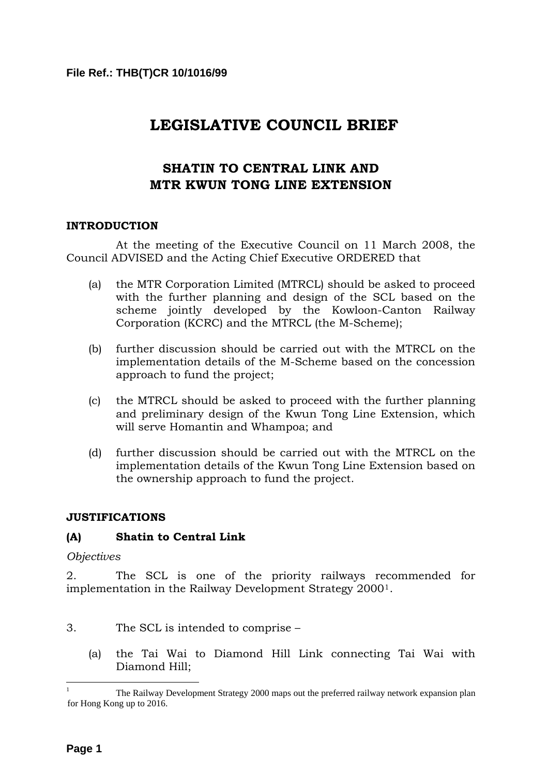# **LEGISLATIVE COUNCIL BRIEF**

## **SHATIN TO CENTRAL LINK AND MTR KWUN TONG LINE EXTENSION**

## **INTRODUCTION**

 At the meeting of the Executive Council on 11 March 2008, the Council ADVISED and the Acting Chief Executive ORDERED that

- (a) the MTR Corporation Limited (MTRCL) should be asked to proceed with the further planning and design of the SCL based on the scheme jointly developed by the Kowloon-Canton Railway Corporation (KCRC) and the MTRCL (the M-Scheme);
- (b) further discussion should be carried out with the MTRCL on the implementation details of the M-Scheme based on the concession approach to fund the project;
- (c) the MTRCL should be asked to proceed with the further planning and preliminary design of the Kwun Tong Line Extension, which will serve Homantin and Whampoa; and
- (d) further discussion should be carried out with the MTRCL on the implementation details of the Kwun Tong Line Extension based on the ownership approach to fund the project.

## **JUSTIFICATIONS**

## **(A) Shatin to Central Link**

*Objectives* 

2. The SCL is one of the priority railways recommended for implementation in the Railway Development Strategy 2000[1](#page-0-0).

- 3. The SCL is intended to comprise
	- (a) the Tai Wai to Diamond Hill Link connecting Tai Wai with Diamond Hill;

<span id="page-0-0"></span> $\frac{1}{1}$  The Railway Development Strategy 2000 maps out the preferred railway network expansion plan for Hong Kong up to 2016.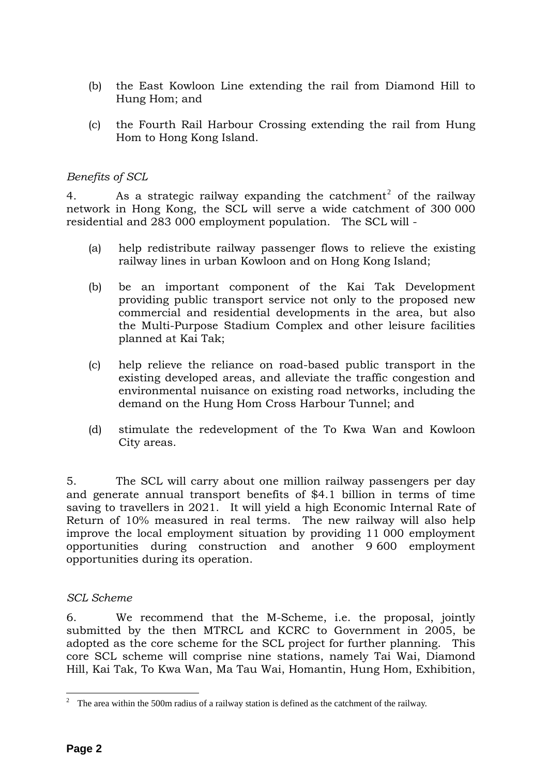- (b) the East Kowloon Line extending the rail from Diamond Hill to Hung Hom; and
- (c) the Fourth Rail Harbour Crossing extending the rail from Hung Hom to Hong Kong Island.

## *Benefits of SCL*

4. As a strategic railway expanding the catchment<sup>[2](#page-1-0)</sup> of the railway network in Hong Kong, the SCL will serve a wide catchment of 300 000 residential and 283 000 employment population. The SCL will -

- (a) help redistribute railway passenger flows to relieve the existing railway lines in urban Kowloon and on Hong Kong Island;
- (b) be an important component of the Kai Tak Development providing public transport service not only to the proposed new commercial and residential developments in the area, but also the Multi-Purpose Stadium Complex and other leisure facilities planned at Kai Tak;
- (c) help relieve the reliance on road-based public transport in the existing developed areas, and alleviate the traffic congestion and environmental nuisance on existing road networks, including the demand on the Hung Hom Cross Harbour Tunnel; and
- (d) stimulate the redevelopment of the To Kwa Wan and Kowloon City areas.

5. The SCL will carry about one million railway passengers per day and generate annual transport benefits of \$4.1 billion in terms of time saving to travellers in 2021. It will yield a high Economic Internal Rate of Return of 10% measured in real terms. The new railway will also help improve the local employment situation by providing 11 000 employment opportunities during construction and another 9 600 employment opportunities during its operation.

## *SCL Scheme*

6. We recommend that the M-Scheme, i.e. the proposal, jointly submitted by the then MTRCL and KCRC to Government in 2005, be adopted as the core scheme for the SCL project for further planning. This core SCL scheme will comprise nine stations, namely Tai Wai, Diamond Hill, Kai Tak, To Kwa Wan, Ma Tau Wai, Homantin, Hung Hom, Exhibition,

<span id="page-1-0"></span><sup>&</sup>lt;sup>2</sup> The area within the 500m radius of a railway station is defined as the catchment of the railway.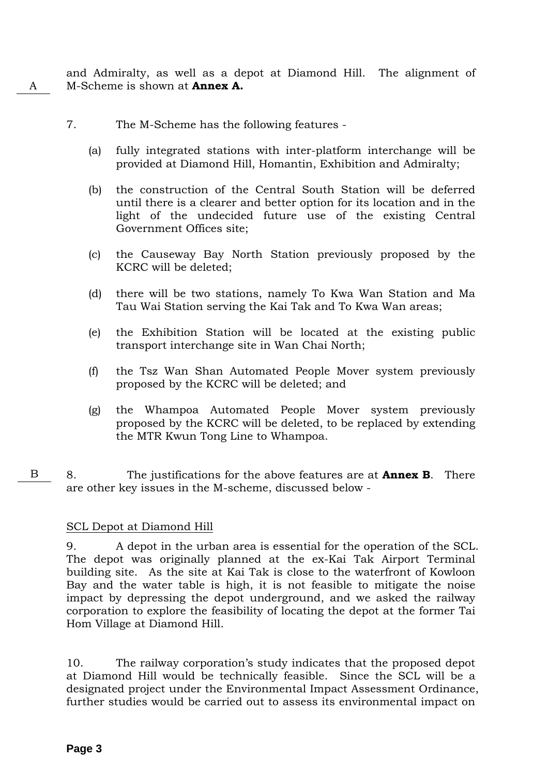and Admiralty, as well as a depot at Diamond Hill. The alignment of A M-Scheme is shown at **Annex A.**

- 7. The M-Scheme has the following features
	- (a) fully integrated stations with inter-platform interchange will be provided at Diamond Hill, Homantin, Exhibition and Admiralty;
	- (b) the construction of the Central South Station will be deferred until there is a clearer and better option for its location and in the light of the undecided future use of the existing Central Government Offices site;
	- (c) the Causeway Bay North Station previously proposed by the KCRC will be deleted;
	- (d) there will be two stations, namely To Kwa Wan Station and Ma Tau Wai Station serving the Kai Tak and To Kwa Wan areas;
	- (e) the Exhibition Station will be located at the existing public transport interchange site in Wan Chai North;
	- (f) the Tsz Wan Shan Automated People Mover system previously proposed by the KCRC will be deleted; and
	- (g) the Whampoa Automated People Mover system previously proposed by the KCRC will be deleted, to be replaced by extending the MTR Kwun Tong Line to Whampoa.
- B 8. The justifications for the above features are at **Annex B**. There are other key issues in the M-scheme, discussed below -

## SCL Depot at Diamond Hill

9. A depot in the urban area is essential for the operation of the SCL. The depot was originally planned at the ex-Kai Tak Airport Terminal building site. As the site at Kai Tak is close to the waterfront of Kowloon Bay and the water table is high, it is not feasible to mitigate the noise impact by depressing the depot underground, and we asked the railway corporation to explore the feasibility of locating the depot at the former Tai Hom Village at Diamond Hill.

10. The railway corporation's study indicates that the proposed depot at Diamond Hill would be technically feasible. Since the SCL will be a designated project under the Environmental Impact Assessment Ordinance, further studies would be carried out to assess its environmental impact on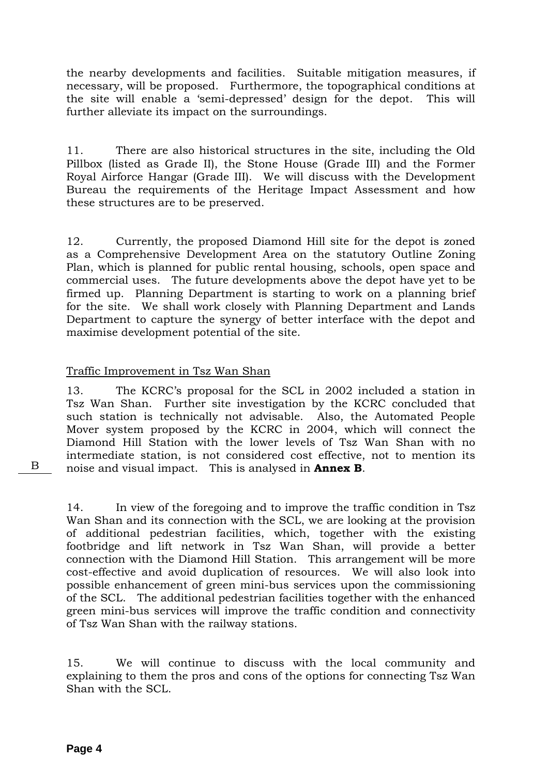the nearby developments and facilities. Suitable mitigation measures, if necessary, will be proposed. Furthermore, the topographical conditions at the site will enable a 'semi-depressed' design for the depot. This will further alleviate its impact on the surroundings.

11. There are also historical structures in the site, including the Old Pillbox (listed as Grade II), the Stone House (Grade III) and the Former Royal Airforce Hangar (Grade III). We will discuss with the Development Bureau the requirements of the Heritage Impact Assessment and how these structures are to be preserved.

12. Currently, the proposed Diamond Hill site for the depot is zoned as a Comprehensive Development Area on the statutory Outline Zoning Plan, which is planned for public rental housing, schools, open space and commercial uses. The future developments above the depot have yet to be firmed up. Planning Department is starting to work on a planning brief for the site. We shall work closely with Planning Department and Lands Department to capture the synergy of better interface with the depot and maximise development potential of the site.

## Traffic Improvement in Tsz Wan Shan

13. The KCRC's proposal for the SCL in 2002 included a station in Tsz Wan Shan. Further site investigation by the KCRC concluded that such station is technically not advisable. Also, the Automated People Mover system proposed by the KCRC in 2004, which will connect the Diamond Hill Station with the lower levels of Tsz Wan Shan with no intermediate station, is not considered cost effective, not to mention its B noise and visual impact. This is analysed in **Annex B**.

14. In view of the foregoing and to improve the traffic condition in Tsz Wan Shan and its connection with the SCL, we are looking at the provision of additional pedestrian facilities, which, together with the existing footbridge and lift network in Tsz Wan Shan, will provide a better connection with the Diamond Hill Station. This arrangement will be more cost-effective and avoid duplication of resources. We will also look into possible enhancement of green mini-bus services upon the commissioning of the SCL. The additional pedestrian facilities together with the enhanced green mini-bus services will improve the traffic condition and connectivity of Tsz Wan Shan with the railway stations.

15. We will continue to discuss with the local community and explaining to them the pros and cons of the options for connecting Tsz Wan Shan with the SCL.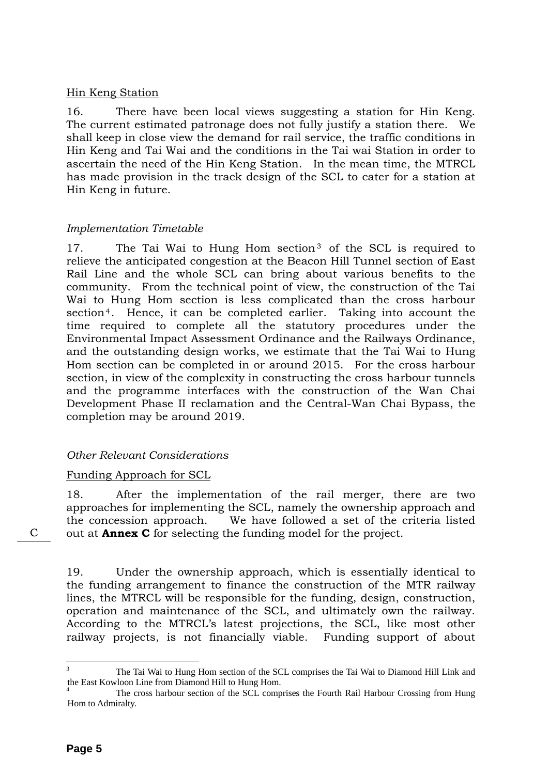## Hin Keng Station

16. There have been local views suggesting a station for Hin Keng. The current estimated patronage does not fully justify a station there. We shall keep in close view the demand for rail service, the traffic conditions in Hin Keng and Tai Wai and the conditions in the Tai wai Station in order to ascertain the need of the Hin Keng Station. In the mean time, the MTRCL has made provision in the track design of the SCL to cater for a station at Hin Keng in future.

## *Implementation Timetable*

17. The Tai Wai to Hung Hom section<sup>[3](#page-4-0)</sup> of the SCL is required to relieve the anticipated congestion at the Beacon Hill Tunnel section of East Rail Line and the whole SCL can bring about various benefits to the community. From the technical point of view, the construction of the Tai Wai to Hung Hom section is less complicated than the cross harbour section<sup>[4](#page-4-1)</sup>. Hence, it can be completed earlier. Taking into account the time required to complete all the statutory procedures under the Environmental Impact Assessment Ordinance and the Railways Ordinance, and the outstanding design works, we estimate that the Tai Wai to Hung Hom section can be completed in or around 2015. For the cross harbour section, in view of the complexity in constructing the cross harbour tunnels and the programme interfaces with the construction of the Wan Chai Development Phase II reclamation and the Central-Wan Chai Bypass, the completion may be around 2019.

## *Other Relevant Considerations*

## Funding Approach for SCL

18. After the implementation of the rail merger, there are two approaches for implementing the SCL, namely the ownership approach and the concession approach. We have followed a set of the criteria listed C out at **Annex C** for selecting the funding model for the project.

19. Under the ownership approach, which is essentially identical to the funding arrangement to finance the construction of the MTR railway lines, the MTRCL will be responsible for the funding, design, construction, operation and maintenance of the SCL, and ultimately own the railway. According to the MTRCL's latest projections, the SCL, like most other railway projects, is not financially viable. Funding support of about

<span id="page-4-0"></span> $\frac{1}{3}$  The Tai Wai to Hung Hom section of the SCL comprises the Tai Wai to Diamond Hill Link and the East Kowloon Line from Diamond Hill to Hung Hom.

<span id="page-4-1"></span><sup>4</sup> The cross harbour section of the SCL comprises the Fourth Rail Harbour Crossing from Hung Hom to Admiralty.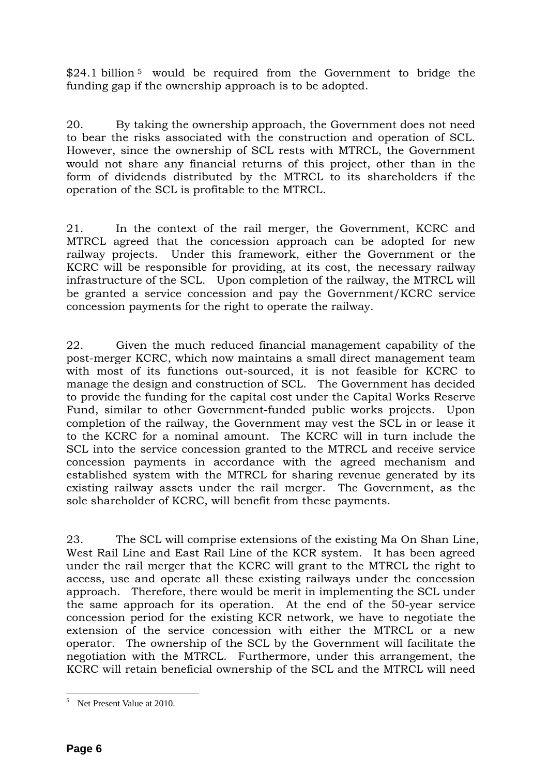\$24.1 billion<sup>[5](#page-5-0)</sup> would be required from the Government to bridge the funding gap if the ownership approach is to be adopted.

20. By taking the ownership approach, the Government does not need to bear the risks associated with the construction and operation of SCL. However, since the ownership of SCL rests with MTRCL, the Government would not share any financial returns of this project, other than in the form of dividends distributed by the MTRCL to its shareholders if the operation of the SCL is profitable to the MTRCL.

21. In the context of the rail merger, the Government, KCRC and MTRCL agreed that the concession approach can be adopted for new railway projects. Under this framework, either the Government or the KCRC will be responsible for providing, at its cost, the necessary railway infrastructure of the SCL. Upon completion of the railway, the MTRCL will be granted a service concession and pay the Government/KCRC service concession payments for the right to operate the railway.

22. Given the much reduced financial management capability of the post-merger KCRC, which now maintains a small direct management team with most of its functions out-sourced, it is not feasible for KCRC to manage the design and construction of SCL. The Government has decided to provide the funding for the capital cost under the Capital Works Reserve Fund, similar to other Government-funded public works projects. Upon completion of the railway, the Government may vest the SCL in or lease it to the KCRC for a nominal amount. The KCRC will in turn include the SCL into the service concession granted to the MTRCL and receive service concession payments in accordance with the agreed mechanism and established system with the MTRCL for sharing revenue generated by its existing railway assets under the rail merger. The Government, as the sole shareholder of KCRC, will benefit from these payments.

23. The SCL will comprise extensions of the existing Ma On Shan Line, West Rail Line and East Rail Line of the KCR system. It has been agreed under the rail merger that the KCRC will grant to the MTRCL the right to access, use and operate all these existing railways under the concession approach. Therefore, there would be merit in implementing the SCL under the same approach for its operation. At the end of the 50-year service concession period for the existing KCR network, we have to negotiate the extension of the service concession with either the MTRCL or a new operator. The ownership of the SCL by the Government will facilitate the negotiation with the MTRCL. Furthermore, under this arrangement, the KCRC will retain beneficial ownership of the SCL and the MTRCL will need

<span id="page-5-0"></span><sup>&</sup>lt;sup>5</sup> Net Present Value at 2010.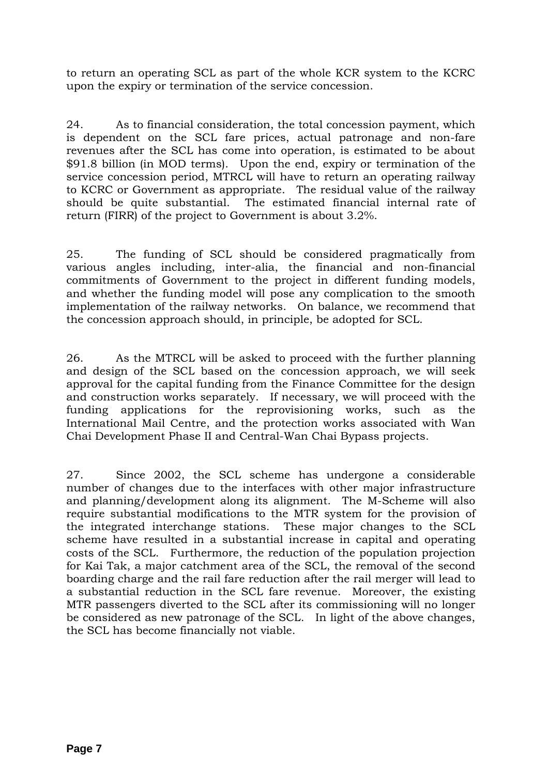to return an operating SCL as part of the whole KCR system to the KCRC upon the expiry or termination of the service concession.

24. As to financial consideration, the total concession payment, which is dependent on the SCL fare prices, actual patronage and non-fare revenues after the SCL has come into operation, is estimated to be about \$91.8 billion (in MOD terms). Upon the end, expiry or termination of the service concession period, MTRCL will have to return an operating railway to KCRC or Government as appropriate. The residual value of the railway should be quite substantial. The estimated financial internal rate of return (FIRR) of the project to Government is about 3.2%.

25. The funding of SCL should be considered pragmatically from various angles including, inter-alia, the financial and non-financial commitments of Government to the project in different funding models, and whether the funding model will pose any complication to the smooth implementation of the railway networks. On balance, we recommend that the concession approach should, in principle, be adopted for SCL.

26. As the MTRCL will be asked to proceed with the further planning and design of the SCL based on the concession approach, we will seek approval for the capital funding from the Finance Committee for the design and construction works separately. If necessary, we will proceed with the funding applications for the reprovisioning works, such as the International Mail Centre, and the protection works associated with Wan Chai Development Phase II and Central-Wan Chai Bypass projects.

27. Since 2002, the SCL scheme has undergone a considerable number of changes due to the interfaces with other major infrastructure and planning/development along its alignment. The M-Scheme will also require substantial modifications to the MTR system for the provision of the integrated interchange stations. These major changes to the SCL scheme have resulted in a substantial increase in capital and operating costs of the SCL. Furthermore, the reduction of the population projection for Kai Tak, a major catchment area of the SCL, the removal of the second boarding charge and the rail fare reduction after the rail merger will lead to a substantial reduction in the SCL fare revenue. Moreover, the existing MTR passengers diverted to the SCL after its commissioning will no longer be considered as new patronage of the SCL. In light of the above changes, the SCL has become financially not viable.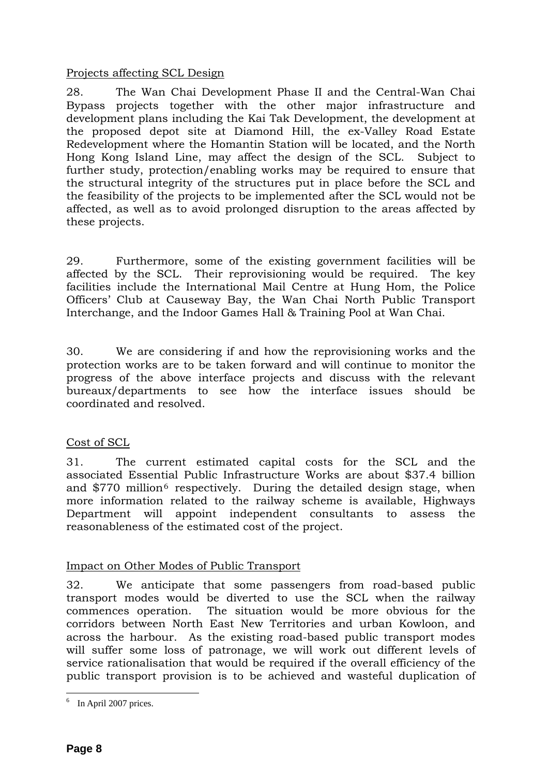## Projects affecting SCL Design

28. The Wan Chai Development Phase II and the Central-Wan Chai Bypass projects together with the other major infrastructure and development plans including the Kai Tak Development, the development at the proposed depot site at Diamond Hill, the ex-Valley Road Estate Redevelopment where the Homantin Station will be located, and the North Hong Kong Island Line, may affect the design of the SCL. Subject to further study, protection/enabling works may be required to ensure that the structural integrity of the structures put in place before the SCL and the feasibility of the projects to be implemented after the SCL would not be affected, as well as to avoid prolonged disruption to the areas affected by these projects.

29. Furthermore, some of the existing government facilities will be affected by the SCL. Their reprovisioning would be required. The key facilities include the International Mail Centre at Hung Hom, the Police Officers' Club at Causeway Bay, the Wan Chai North Public Transport Interchange, and the Indoor Games Hall & Training Pool at Wan Chai.

30. We are considering if and how the reprovisioning works and the protection works are to be taken forward and will continue to monitor the progress of the above interface projects and discuss with the relevant bureaux/departments to see how the interface issues should be coordinated and resolved.

## Cost of SCL

31. The current estimated capital costs for the SCL and the associated Essential Public Infrastructure Works are about \$37.4 billion and  $$770$  million<sup>[6](#page-7-0)</sup> respectively. During the detailed design stage, when more information related to the railway scheme is available, Highways Department will appoint independent consultants to assess the reasonableness of the estimated cost of the project.

## Impact on Other Modes of Public Transport

32. We anticipate that some passengers from road-based public transport modes would be diverted to use the SCL when the railway commences operation. The situation would be more obvious for the corridors between North East New Territories and urban Kowloon, and across the harbour. As the existing road-based public transport modes will suffer some loss of patronage, we will work out different levels of service rationalisation that would be required if the overall efficiency of the public transport provision is to be achieved and wasteful duplication of

 $\overline{a}$ 

<span id="page-7-0"></span><sup>&</sup>lt;sup>6</sup> In April 2007 prices.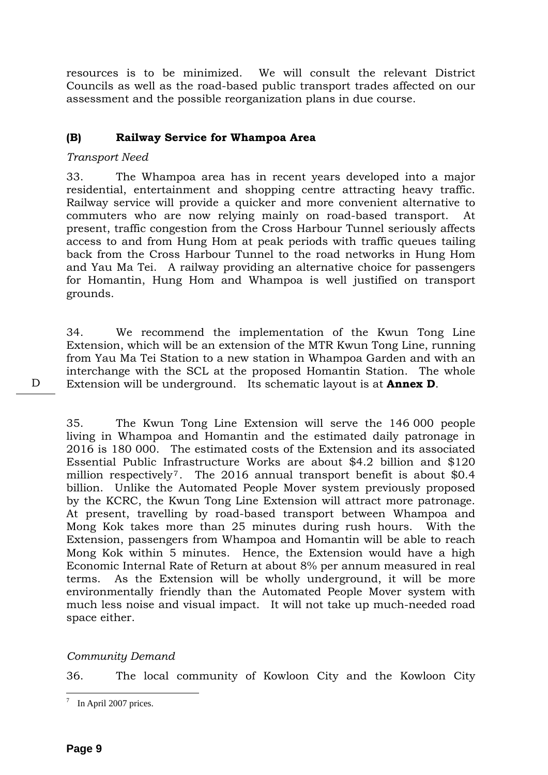resources is to be minimized. We will consult the relevant District Councils as well as the road-based public transport trades affected on our assessment and the possible reorganization plans in due course.

## **(B) Railway Service for Whampoa Area**

## *Transport Need*

33. The Whampoa area has in recent years developed into a major residential, entertainment and shopping centre attracting heavy traffic. Railway service will provide a quicker and more convenient alternative to commuters who are now relying mainly on road-based transport. At present, traffic congestion from the Cross Harbour Tunnel seriously affects access to and from Hung Hom at peak periods with traffic queues tailing back from the Cross Harbour Tunnel to the road networks in Hung Hom and Yau Ma Tei. A railway providing an alternative choice for passengers for Homantin, Hung Hom and Whampoa is well justified on transport grounds.

34. We recommend the implementation of the Kwun Tong Line Extension, which will be an extension of the MTR Kwun Tong Line, running from Yau Ma Tei Station to a new station in Whampoa Garden and with an interchange with the SCL at the proposed Homantin Station. The whole D Extension will be underground. Its schematic layout is at **Annex D**.

35. The Kwun Tong Line Extension will serve the 146 000 people living in Whampoa and Homantin and the estimated daily patronage in 2016 is 180 000. The estimated costs of the Extension and its associated Essential Public Infrastructure Works are about \$4.2 billion and \$120 million respectively[7](#page-8-0). The 2016 annual transport benefit is about \$0.4 billion. Unlike the Automated People Mover system previously proposed by the KCRC, the Kwun Tong Line Extension will attract more patronage. At present, travelling by road-based transport between Whampoa and Mong Kok takes more than 25 minutes during rush hours. With the Extension, passengers from Whampoa and Homantin will be able to reach Mong Kok within 5 minutes. Hence, the Extension would have a high Economic Internal Rate of Return at about 8% per annum measured in real terms. As the Extension will be wholly underground, it will be more environmentally friendly than the Automated People Mover system with much less noise and visual impact. It will not take up much-needed road space either.

## *Community Demand*

36. The local community of Kowloon City and the Kowloon City

<span id="page-8-0"></span> 7 In April 2007 prices.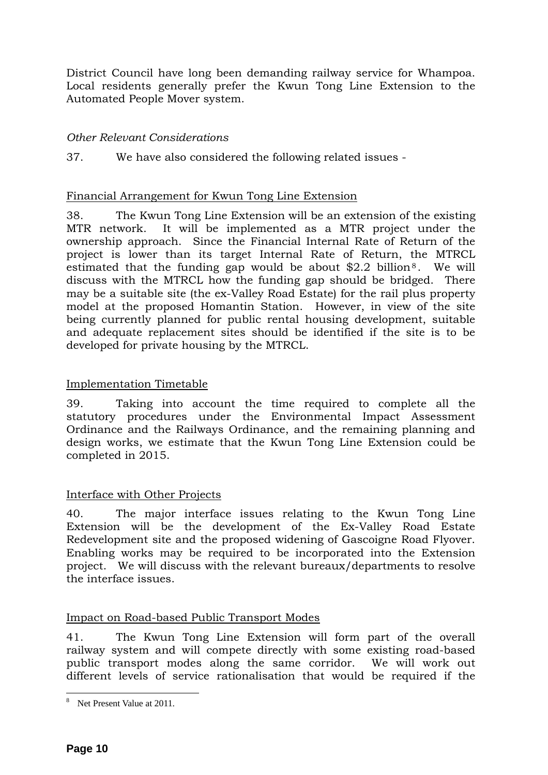District Council have long been demanding railway service for Whampoa. Local residents generally prefer the Kwun Tong Line Extension to the Automated People Mover system.

## *Other Relevant Considerations*

37. We have also considered the following related issues -

## Financial Arrangement for Kwun Tong Line Extension

38. The Kwun Tong Line Extension will be an extension of the existing MTR network. It will be implemented as a MTR project under the ownership approach. Since the Financial Internal Rate of Return of the project is lower than its target Internal Rate of Return, the MTRCL estimated that the funding gap would be about  $$2.2$  billion<sup>[8](#page-9-0)</sup>. We will discuss with the MTRCL how the funding gap should be bridged. There may be a suitable site (the ex-Valley Road Estate) for the rail plus property model at the proposed Homantin Station. However, in view of the site being currently planned for public rental housing development, suitable and adequate replacement sites should be identified if the site is to be developed for private housing by the MTRCL.

## Implementation Timetable

39. Taking into account the time required to complete all the statutory procedures under the Environmental Impact Assessment Ordinance and the Railways Ordinance, and the remaining planning and design works, we estimate that the Kwun Tong Line Extension could be completed in 2015.

## Interface with Other Projects

40. The major interface issues relating to the Kwun Tong Line Extension will be the development of the Ex-Valley Road Estate Redevelopment site and the proposed widening of Gascoigne Road Flyover. Enabling works may be required to be incorporated into the Extension project. We will discuss with the relevant bureaux/departments to resolve the interface issues.

## Impact on Road-based Public Transport Modes

41. The Kwun Tong Line Extension will form part of the overall railway system and will compete directly with some existing road-based public transport modes along the same corridor. We will work out different levels of service rationalisation that would be required if the

<span id="page-9-0"></span><sup>&</sup>lt;sup>8</sup> Net Present Value at 2011.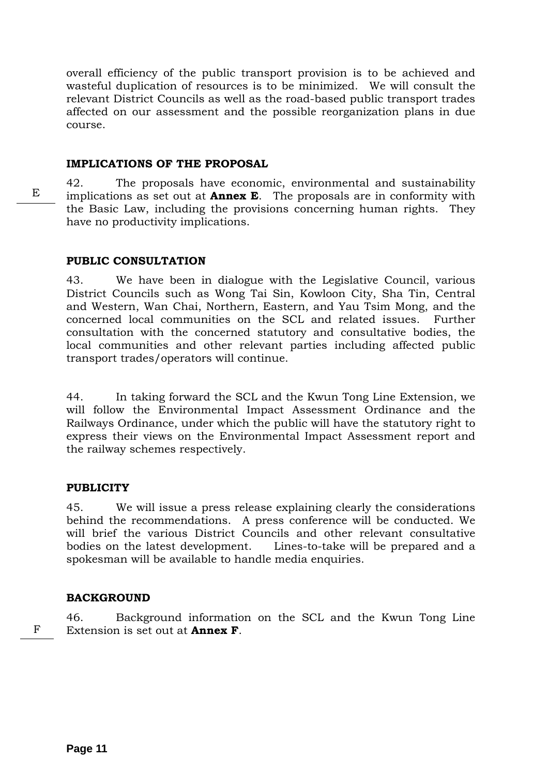overall efficiency of the public transport provision is to be achieved and wasteful duplication of resources is to be minimized. We will consult the relevant District Councils as well as the road-based public transport trades affected on our assessment and the possible reorganization plans in due course.

#### **IMPLICATIONS OF THE PROPOSAL**

42. The proposals have economic, environmental and sustainability implications as set out at **Annex E**. The proposals are in conformity with the Basic Law, including the provisions concerning human rights. They have no productivity implications.

## **PUBLIC CONSULTATION**

43. We have been in dialogue with the Legislative Council, various District Councils such as Wong Tai Sin, Kowloon City, Sha Tin, Central and Western, Wan Chai, Northern, Eastern, and Yau Tsim Mong, and the concerned local communities on the SCL and related issues. Further consultation with the concerned statutory and consultative bodies, the local communities and other relevant parties including affected public transport trades/operators will continue.

44. In taking forward the SCL and the Kwun Tong Line Extension, we will follow the Environmental Impact Assessment Ordinance and the Railways Ordinance, under which the public will have the statutory right to express their views on the Environmental Impact Assessment report and the railway schemes respectively.

## **PUBLICITY**

45. We will issue a press release explaining clearly the considerations behind the recommendations. A press conference will be conducted. We will brief the various District Councils and other relevant consultative bodies on the latest development. Lines-to-take will be prepared and a spokesman will be available to handle media enquiries.

## **BACKGROUND**

F

46. Background information on the SCL and the Kwun Tong Line Extension is set out at **Annex F**.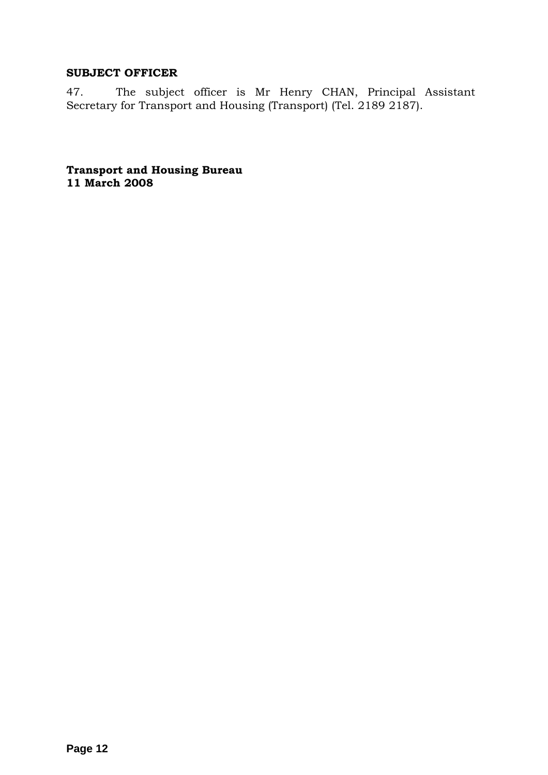## **SUBJECT OFFICER**

47. The subject officer is Mr Henry CHAN, Principal Assistant Secretary for Transport and Housing (Transport) (Tel. 2189 2187).

**Transport and Housing Bureau 11 March 2008**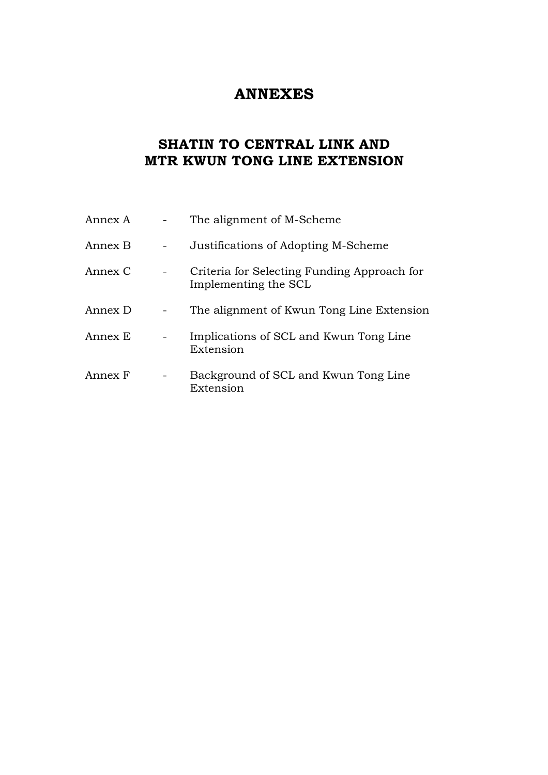# **ANNEXES**

# **SHATIN TO CENTRAL LINK AND MTR KWUN TONG LINE EXTENSION**

| Annex A | The alignment of M-Scheme                                           |
|---------|---------------------------------------------------------------------|
| Annex B | Justifications of Adopting M-Scheme                                 |
| Annex C | Criteria for Selecting Funding Approach for<br>Implementing the SCL |
| Annex D | The alignment of Kwun Tong Line Extension                           |
| Annex E | Implications of SCL and Kwun Tong Line<br>Extension                 |
| Annex F | Background of SCL and Kwun Tong Line<br>Extension                   |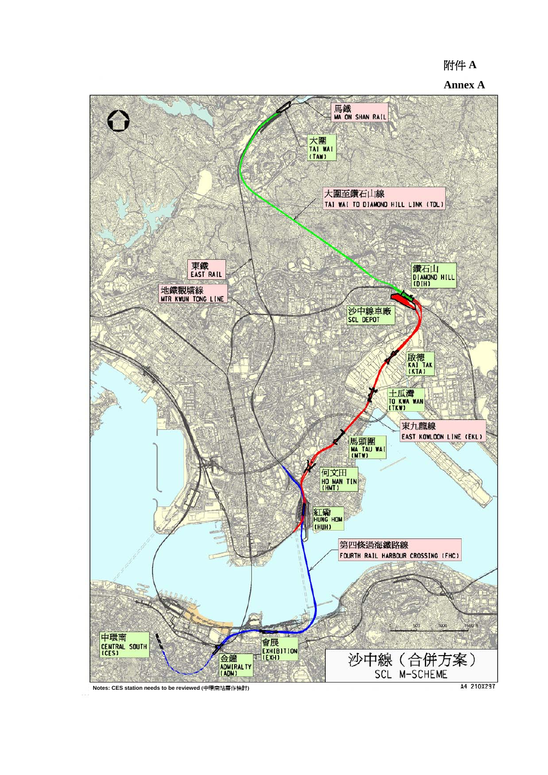## 附件 **A**

#### **Annex A**



**Notes: CES station needs to be reviewed (**中環南站需作檢討**)**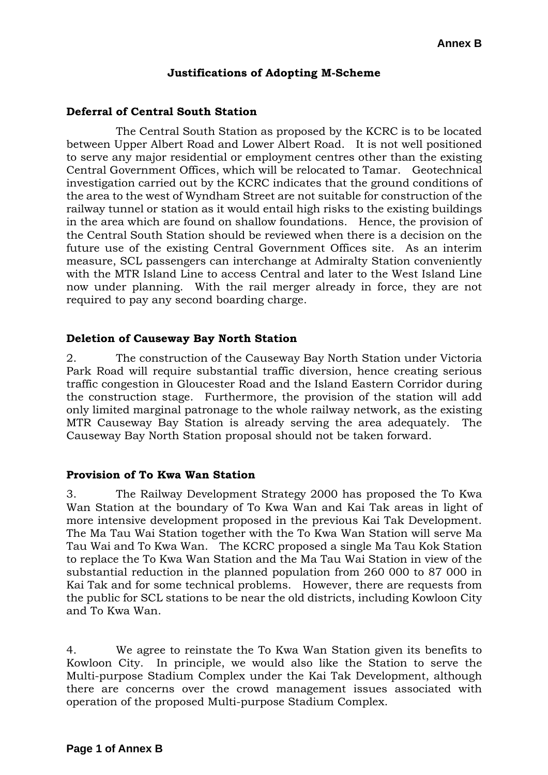## **Annex B**

## **Justifications of Adopting M-Scheme**

#### **Deferral of Central South Station**

 The Central South Station as proposed by the KCRC is to be located between Upper Albert Road and Lower Albert Road. It is not well positioned to serve any major residential or employment centres other than the existing Central Government Offices, which will be relocated to Tamar. Geotechnical investigation carried out by the KCRC indicates that the ground conditions of the area to the west of Wyndham Street are not suitable for construction of the railway tunnel or station as it would entail high risks to the existing buildings in the area which are found on shallow foundations. Hence, the provision of the Central South Station should be reviewed when there is a decision on the future use of the existing Central Government Offices site. As an interim measure, SCL passengers can interchange at Admiralty Station conveniently with the MTR Island Line to access Central and later to the West Island Line now under planning. With the rail merger already in force, they are not required to pay any second boarding charge.

#### **Deletion of Causeway Bay North Station**

2. The construction of the Causeway Bay North Station under Victoria Park Road will require substantial traffic diversion, hence creating serious traffic congestion in Gloucester Road and the Island Eastern Corridor during the construction stage. Furthermore, the provision of the station will add only limited marginal patronage to the whole railway network, as the existing MTR Causeway Bay Station is already serving the area adequately. The Causeway Bay North Station proposal should not be taken forward.

#### **Provision of To Kwa Wan Station**

3. The Railway Development Strategy 2000 has proposed the To Kwa Wan Station at the boundary of To Kwa Wan and Kai Tak areas in light of more intensive development proposed in the previous Kai Tak Development. The Ma Tau Wai Station together with the To Kwa Wan Station will serve Ma Tau Wai and To Kwa Wan. The KCRC proposed a single Ma Tau Kok Station to replace the To Kwa Wan Station and the Ma Tau Wai Station in view of the substantial reduction in the planned population from 260 000 to 87 000 in Kai Tak and for some technical problems. However, there are requests from the public for SCL stations to be near the old districts, including Kowloon City and To Kwa Wan.

4. We agree to reinstate the To Kwa Wan Station given its benefits to Kowloon City. In principle, we would also like the Station to serve the Multi-purpose Stadium Complex under the Kai Tak Development, although there are concerns over the crowd management issues associated with operation of the proposed Multi-purpose Stadium Complex.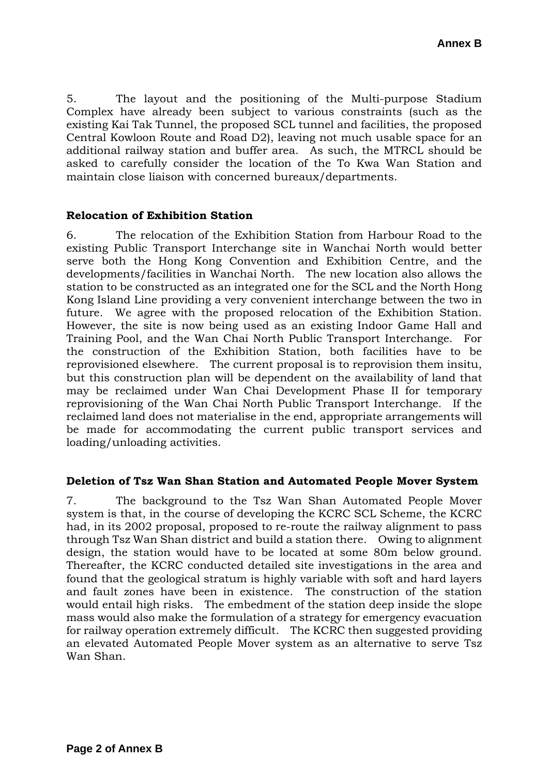5. The layout and the positioning of the Multi-purpose Stadium Complex have already been subject to various constraints (such as the existing Kai Tak Tunnel, the proposed SCL tunnel and facilities, the proposed Central Kowloon Route and Road D2), leaving not much usable space for an additional railway station and buffer area. As such, the MTRCL should be asked to carefully consider the location of the To Kwa Wan Station and maintain close liaison with concerned bureaux/departments.

## **Relocation of Exhibition Station**

6. The relocation of the Exhibition Station from Harbour Road to the existing Public Transport Interchange site in Wanchai North would better serve both the Hong Kong Convention and Exhibition Centre, and the developments/facilities in Wanchai North. The new location also allows the station to be constructed as an integrated one for the SCL and the North Hong Kong Island Line providing a very convenient interchange between the two in future. We agree with the proposed relocation of the Exhibition Station. However, the site is now being used as an existing Indoor Game Hall and Training Pool, and the Wan Chai North Public Transport Interchange. For the construction of the Exhibition Station, both facilities have to be reprovisioned elsewhere. The current proposal is to reprovision them insitu, but this construction plan will be dependent on the availability of land that may be reclaimed under Wan Chai Development Phase II for temporary reprovisioning of the Wan Chai North Public Transport Interchange. If the reclaimed land does not materialise in the end, appropriate arrangements will be made for accommodating the current public transport services and loading/unloading activities.

## **Deletion of Tsz Wan Shan Station and Automated People Mover System**

7. The background to the Tsz Wan Shan Automated People Mover system is that, in the course of developing the KCRC SCL Scheme, the KCRC had, in its 2002 proposal, proposed to re-route the railway alignment to pass through Tsz Wan Shan district and build a station there. Owing to alignment design, the station would have to be located at some 80m below ground. Thereafter, the KCRC conducted detailed site investigations in the area and found that the geological stratum is highly variable with soft and hard layers and fault zones have been in existence. The construction of the station would entail high risks. The embedment of the station deep inside the slope mass would also make the formulation of a strategy for emergency evacuation for railway operation extremely difficult. The KCRC then suggested providing an elevated Automated People Mover system as an alternative to serve Tsz Wan Shan.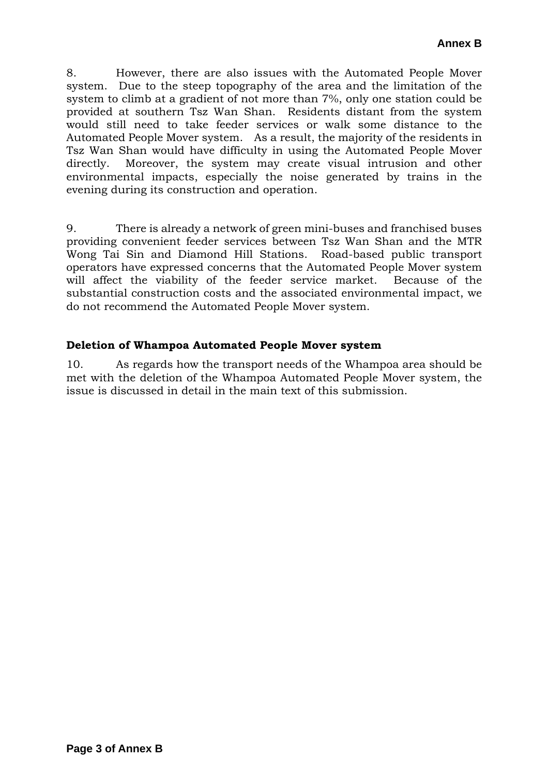8. However, there are also issues with the Automated People Mover system. Due to the steep topography of the area and the limitation of the system to climb at a gradient of not more than 7%, only one station could be provided at southern Tsz Wan Shan. Residents distant from the system would still need to take feeder services or walk some distance to the Automated People Mover system. As a result, the majority of the residents in Tsz Wan Shan would have difficulty in using the Automated People Mover directly. Moreover, the system may create visual intrusion and other environmental impacts, especially the noise generated by trains in the evening during its construction and operation.

9. There is already a network of green mini-buses and franchised buses providing convenient feeder services between Tsz Wan Shan and the MTR Wong Tai Sin and Diamond Hill Stations. Road-based public transport operators have expressed concerns that the Automated People Mover system will affect the viability of the feeder service market. Because of the substantial construction costs and the associated environmental impact, we do not recommend the Automated People Mover system.

## **Deletion of Whampoa Automated People Mover system**

10. As regards how the transport needs of the Whampoa area should be met with the deletion of the Whampoa Automated People Mover system, the issue is discussed in detail in the main text of this submission.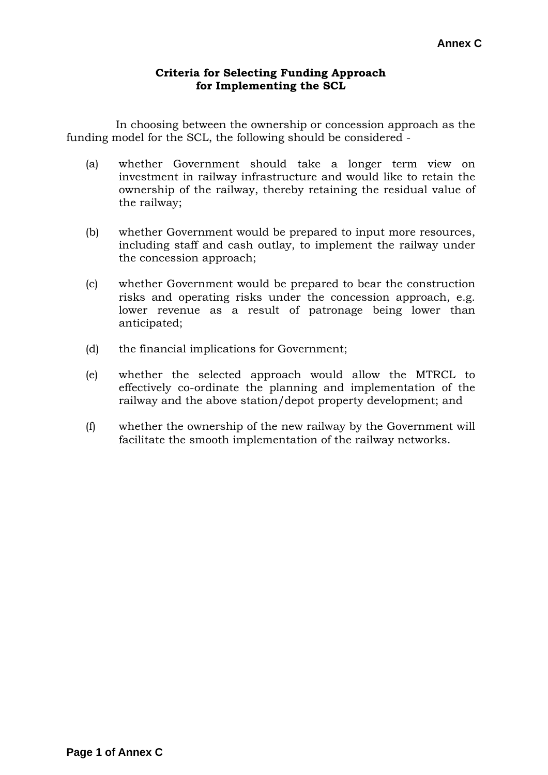## **Criteria for Selecting Funding Approach for Implementing the SCL**

 In choosing between the ownership or concession approach as the funding model for the SCL, the following should be considered -

- (a) whether Government should take a longer term view on investment in railway infrastructure and would like to retain the ownership of the railway, thereby retaining the residual value of the railway;
- (b) whether Government would be prepared to input more resources, including staff and cash outlay, to implement the railway under the concession approach;
- (c) whether Government would be prepared to bear the construction risks and operating risks under the concession approach, e.g. lower revenue as a result of patronage being lower than anticipated;
- (d) the financial implications for Government;
- (e) whether the selected approach would allow the MTRCL to effectively co-ordinate the planning and implementation of the railway and the above station/depot property development; and
- (f) whether the ownership of the new railway by the Government will facilitate the smooth implementation of the railway networks.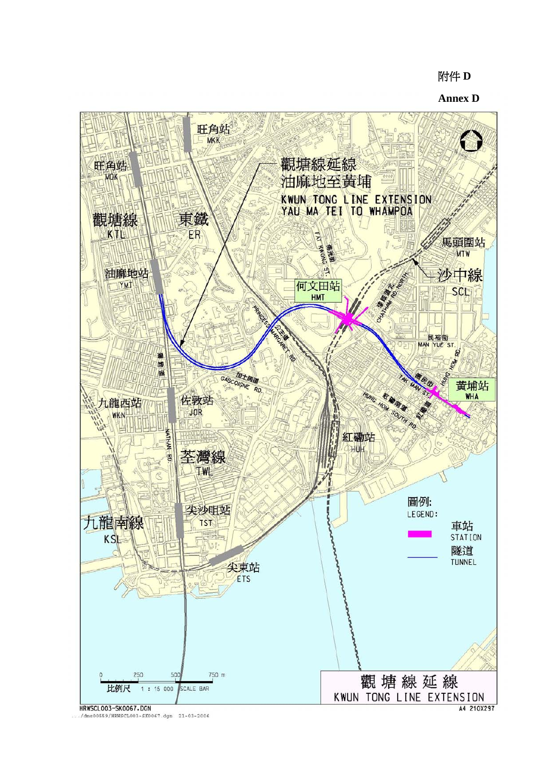## 附件 **D**

**Annex D**



./dms00559/HRWSCL003-SK0067.dgn 21-03-2006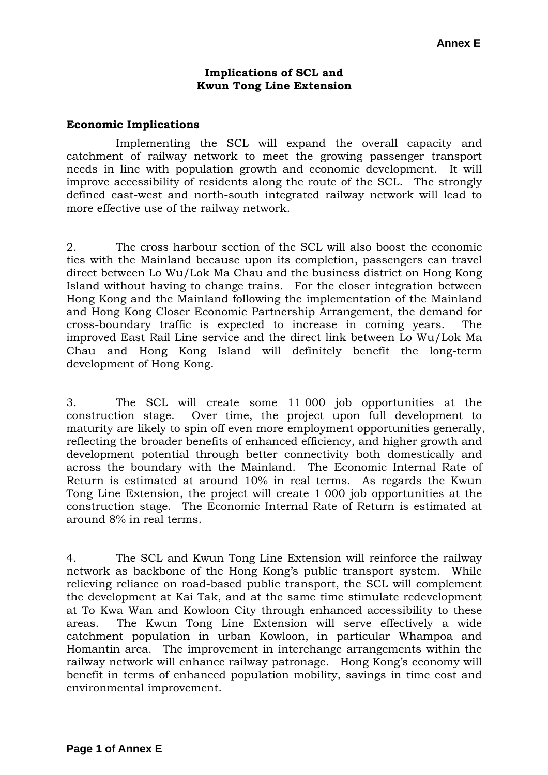#### **Implications of SCL and Kwun Tong Line Extension**

#### **Economic Implications**

Implementing the SCL will expand the overall capacity and catchment of railway network to meet the growing passenger transport needs in line with population growth and economic development. It will improve accessibility of residents along the route of the SCL. The strongly defined east-west and north-south integrated railway network will lead to more effective use of the railway network.

2. The cross harbour section of the SCL will also boost the economic ties with the Mainland because upon its completion, passengers can travel direct between Lo Wu/Lok Ma Chau and the business district on Hong Kong Island without having to change trains. For the closer integration between Hong Kong and the Mainland following the implementation of the Mainland and Hong Kong Closer Economic Partnership Arrangement, the demand for cross-boundary traffic is expected to increase in coming years. The improved East Rail Line service and the direct link between Lo Wu/Lok Ma Chau and Hong Kong Island will definitely benefit the long-term development of Hong Kong.

3. The SCL will create some 11 000 job opportunities at the construction stage. Over time, the project upon full development to maturity are likely to spin off even more employment opportunities generally, reflecting the broader benefits of enhanced efficiency, and higher growth and development potential through better connectivity both domestically and across the boundary with the Mainland. The Economic Internal Rate of Return is estimated at around 10% in real terms. As regards the Kwun Tong Line Extension, the project will create 1 000 job opportunities at the construction stage. The Economic Internal Rate of Return is estimated at around 8% in real terms.

4. The SCL and Kwun Tong Line Extension will reinforce the railway network as backbone of the Hong Kong's public transport system. While relieving reliance on road-based public transport, the SCL will complement the development at Kai Tak, and at the same time stimulate redevelopment at To Kwa Wan and Kowloon City through enhanced accessibility to these areas. The Kwun Tong Line Extension will serve effectively a wide catchment population in urban Kowloon, in particular Whampoa and Homantin area. The improvement in interchange arrangements within the railway network will enhance railway patronage. Hong Kong's economy will benefit in terms of enhanced population mobility, savings in time cost and environmental improvement.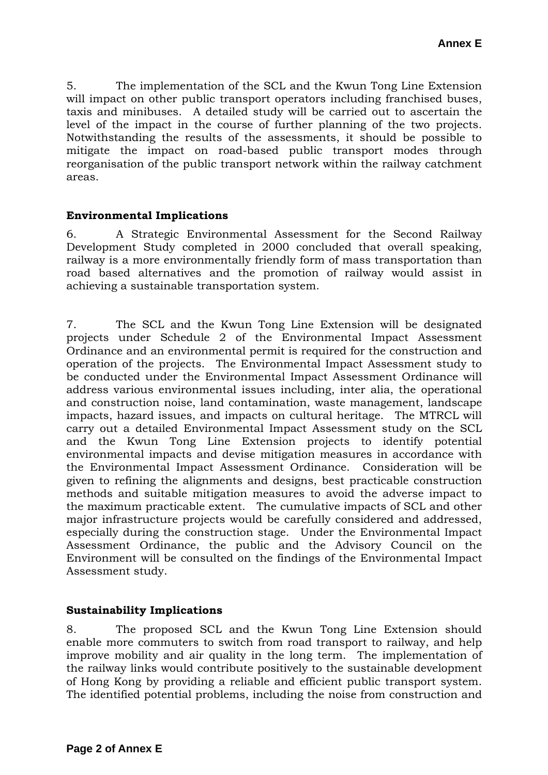5. The implementation of the SCL and the Kwun Tong Line Extension will impact on other public transport operators including franchised buses, taxis and minibuses. A detailed study will be carried out to ascertain the level of the impact in the course of further planning of the two projects. Notwithstanding the results of the assessments, it should be possible to mitigate the impact on road-based public transport modes through reorganisation of the public transport network within the railway catchment areas.

## **Environmental Implications**

6. A Strategic Environmental Assessment for the Second Railway Development Study completed in 2000 concluded that overall speaking, railway is a more environmentally friendly form of mass transportation than road based alternatives and the promotion of railway would assist in achieving a sustainable transportation system.

7. The SCL and the Kwun Tong Line Extension will be designated projects under Schedule 2 of the Environmental Impact Assessment Ordinance and an environmental permit is required for the construction and operation of the projects. The Environmental Impact Assessment study to be conducted under the Environmental Impact Assessment Ordinance will address various environmental issues including, inter alia, the operational and construction noise, land contamination, waste management, landscape impacts, hazard issues, and impacts on cultural heritage. The MTRCL will carry out a detailed Environmental Impact Assessment study on the SCL and the Kwun Tong Line Extension projects to identify potential environmental impacts and devise mitigation measures in accordance with the Environmental Impact Assessment Ordinance. Consideration will be given to refining the alignments and designs, best practicable construction methods and suitable mitigation measures to avoid the adverse impact to the maximum practicable extent. The cumulative impacts of SCL and other major infrastructure projects would be carefully considered and addressed, especially during the construction stage. Under the Environmental Impact Assessment Ordinance, the public and the Advisory Council on the Environment will be consulted on the findings of the Environmental Impact Assessment study.

## **Sustainability Implications**

8. The proposed SCL and the Kwun Tong Line Extension should enable more commuters to switch from road transport to railway, and help improve mobility and air quality in the long term. The implementation of the railway links would contribute positively to the sustainable development of Hong Kong by providing a reliable and efficient public transport system. The identified potential problems, including the noise from construction and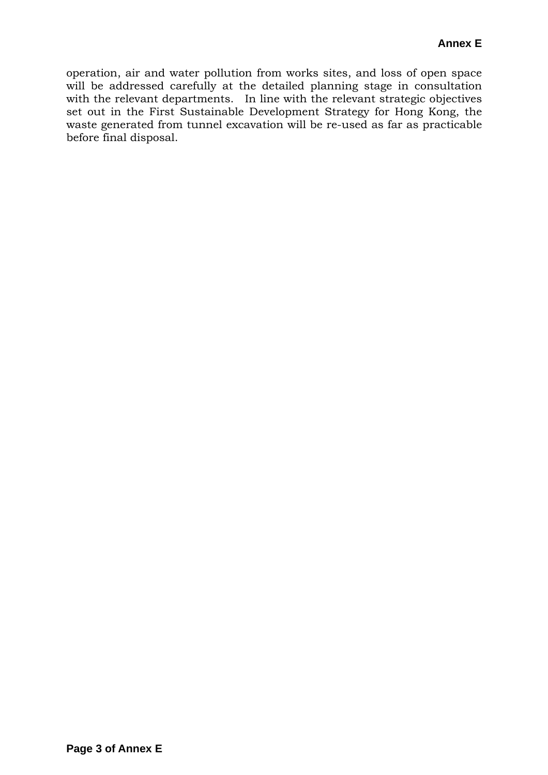operation, air and water pollution from works sites, and loss of open space will be addressed carefully at the detailed planning stage in consultation with the relevant departments. In line with the relevant strategic objectives set out in the First Sustainable Development Strategy for Hong Kong, the waste generated from tunnel excavation will be re-used as far as practicable before final disposal.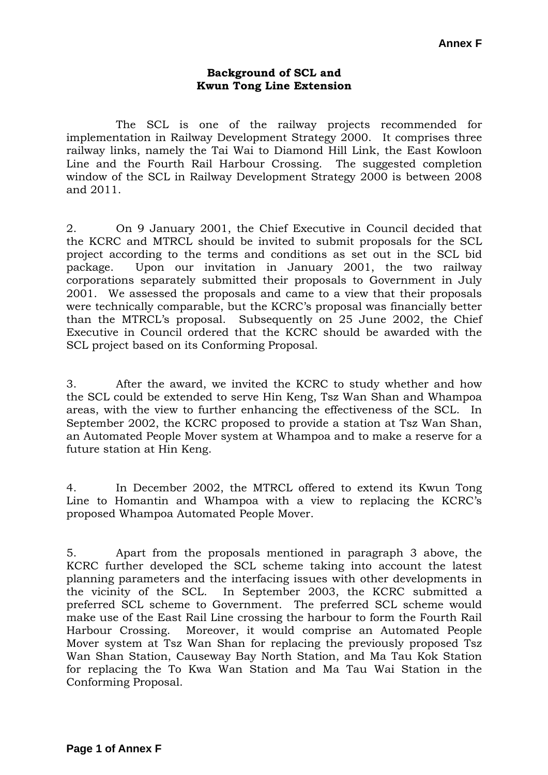#### **Background of SCL and Kwun Tong Line Extension**

 The SCL is one of the railway projects recommended for implementation in Railway Development Strategy 2000. It comprises three railway links, namely the Tai Wai to Diamond Hill Link, the East Kowloon Line and the Fourth Rail Harbour Crossing. The suggested completion window of the SCL in Railway Development Strategy 2000 is between 2008 and 2011.

2. On 9 January 2001, the Chief Executive in Council decided that the KCRC and MTRCL should be invited to submit proposals for the SCL project according to the terms and conditions as set out in the SCL bid package. Upon our invitation in January 2001, the two railway corporations separately submitted their proposals to Government in July 2001. We assessed the proposals and came to a view that their proposals were technically comparable, but the KCRC's proposal was financially better than the MTRCL's proposal. Subsequently on 25 June 2002, the Chief Executive in Council ordered that the KCRC should be awarded with the SCL project based on its Conforming Proposal.

3. After the award, we invited the KCRC to study whether and how the SCL could be extended to serve Hin Keng, Tsz Wan Shan and Whampoa areas, with the view to further enhancing the effectiveness of the SCL. In September 2002, the KCRC proposed to provide a station at Tsz Wan Shan, an Automated People Mover system at Whampoa and to make a reserve for a future station at Hin Keng.

4. In December 2002, the MTRCL offered to extend its Kwun Tong Line to Homantin and Whampoa with a view to replacing the KCRC's proposed Whampoa Automated People Mover.

5. Apart from the proposals mentioned in paragraph 3 above, the KCRC further developed the SCL scheme taking into account the latest planning parameters and the interfacing issues with other developments in the vicinity of the SCL. In September 2003, the KCRC submitted a preferred SCL scheme to Government. The preferred SCL scheme would make use of the East Rail Line crossing the harbour to form the Fourth Rail Harbour Crossing. Moreover, it would comprise an Automated People Mover system at Tsz Wan Shan for replacing the previously proposed Tsz Wan Shan Station, Causeway Bay North Station, and Ma Tau Kok Station for replacing the To Kwa Wan Station and Ma Tau Wai Station in the Conforming Proposal.